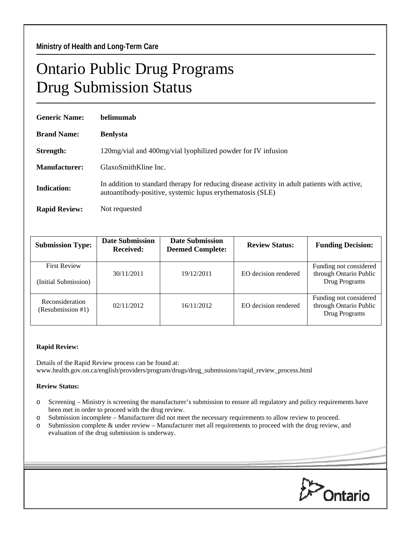## Ontario Public Drug Programs Drug Submission Status

| <b>Generic Name:</b> | belimumab                                                                                                                                                 |  |  |
|----------------------|-----------------------------------------------------------------------------------------------------------------------------------------------------------|--|--|
| <b>Brand Name:</b>   | <b>Benlysta</b>                                                                                                                                           |  |  |
| Strength:            | 120mg/vial and 400mg/vial lyophilized powder for IV infusion                                                                                              |  |  |
| Manufacturer:        | GlaxoSmithKline Inc.                                                                                                                                      |  |  |
| <b>Indication:</b>   | In addition to standard therapy for reducing disease activity in adult patients with active,<br>autoantibody-positive, systemic lupus erythematosis (SLE) |  |  |
| <b>Rapid Review:</b> | Not requested                                                                                                                                             |  |  |

| <b>Submission Type:</b>                     | <b>Date Submission</b><br>Received: | <b>Date Submission</b><br><b>Deemed Complete:</b> | <b>Review Status:</b> | <b>Funding Decision:</b>                                          |
|---------------------------------------------|-------------------------------------|---------------------------------------------------|-----------------------|-------------------------------------------------------------------|
| <b>First Review</b><br>(Initial Submission) | 30/11/2011                          | 19/12/2011                                        | EO decision rendered  | Funding not considered<br>through Ontario Public<br>Drug Programs |
| Reconsideration<br>(Resubmission #1)        | 02/11/2012                          | 16/11/2012                                        | EO decision rendered  | Funding not considered<br>through Ontario Public<br>Drug Programs |

## **Rapid Review:**

Details of the Rapid Review process can be found at: www.health.gov.on.ca/english/providers/program/drugs/drug\_submissions/rapid\_review\_process.html

## **Review Status:**

- o Screening Ministry is screening the manufacturer's submission to ensure all regulatory and policy requirements have been met in order to proceed with the drug review.
- o Submission incomplete Manufacturer did not meet the necessary requirements to allow review to proceed.
- o Submission complete & under review Manufacturer met all requirements to proceed with the drug review, and evaluation of the drug submission is underway.